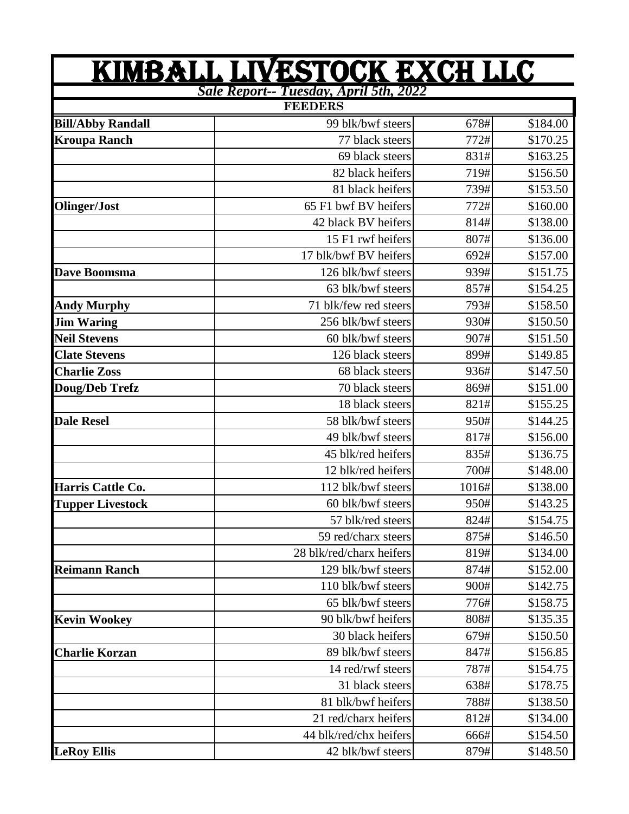| <u>KIMBALL LIVESTOCK EXCH LLC</u><br>Sale Report-- Tuesday, April 5th, 2022<br><b>FEEDERS</b> |                          |       |          |  |
|-----------------------------------------------------------------------------------------------|--------------------------|-------|----------|--|
|                                                                                               |                          |       |          |  |
| <b>Kroupa Ranch</b>                                                                           | 77 black steers          | 772#  | \$170.25 |  |
|                                                                                               | 69 black steers          | 831#  | \$163.25 |  |
|                                                                                               | 82 black heifers         | 719#  | \$156.50 |  |
|                                                                                               | 81 black heifers         | 739#  | \$153.50 |  |
| Olinger/Jost                                                                                  | 65 F1 bwf BV heifers     | 772#  | \$160.00 |  |
|                                                                                               | 42 black BV heifers      | 814#  | \$138.00 |  |
|                                                                                               | 15 F1 rwf heifers        | 807#  | \$136.00 |  |
|                                                                                               | 17 blk/bwf BV heifers    | 692#  | \$157.00 |  |
| Dave Boomsma                                                                                  | 126 blk/bwf steers       | 939#  | \$151.75 |  |
|                                                                                               | 63 blk/bwf steers        | 857#  | \$154.25 |  |
| <b>Andy Murphy</b>                                                                            | 71 blk/few red steers    | 793#  | \$158.50 |  |
| <b>Jim Waring</b>                                                                             | 256 blk/bwf steers       | 930#  | \$150.50 |  |
| <b>Neil Stevens</b>                                                                           | 60 blk/bwf steers        | 907#  | \$151.50 |  |
| <b>Clate Stevens</b>                                                                          | 126 black steers         | 899#  | \$149.85 |  |
| <b>Charlie Zoss</b>                                                                           | 68 black steers          | 936#  | \$147.50 |  |
| Doug/Deb Trefz                                                                                | 70 black steers          | 869#  | \$151.00 |  |
|                                                                                               | 18 black steers          | 821#  | \$155.25 |  |
| <b>Dale Resel</b>                                                                             | 58 blk/bwf steers        | 950#  | \$144.25 |  |
|                                                                                               | 49 blk/bwf steers        | 817#  | \$156.00 |  |
|                                                                                               | 45 blk/red heifers       | 835#  | \$136.75 |  |
|                                                                                               | 12 blk/red heifers       | 700#  | \$148.00 |  |
| Harris Cattle Co.                                                                             | 112 blk/bwf steers       | 1016# | \$138.00 |  |
| <b>Tupper Livestock</b>                                                                       | 60 blk/bwf steers        | 950#  | \$143.25 |  |
|                                                                                               | 57 blk/red steers        | 824#  | \$154.75 |  |
|                                                                                               | 59 red/charx steers      | 875#  | \$146.50 |  |
|                                                                                               | 28 blk/red/charx heifers | 819#  | \$134.00 |  |
| <b>Reimann Ranch</b>                                                                          | 129 blk/bwf steers       | 874#  | \$152.00 |  |
|                                                                                               | 110 blk/bwf steers       | 900#  | \$142.75 |  |
|                                                                                               | 65 blk/bwf steers        | 776#  | \$158.75 |  |
| <b>Kevin Wookey</b>                                                                           | 90 blk/bwf heifers       | 808#  | \$135.35 |  |
|                                                                                               | 30 black heifers         | 679#  | \$150.50 |  |
| <b>Charlie Korzan</b>                                                                         | 89 blk/bwf steers        | 847#  | \$156.85 |  |
|                                                                                               | 14 red/rwf steers        | 787#  | \$154.75 |  |
|                                                                                               | 31 black steers          | 638#  | \$178.75 |  |
|                                                                                               | 81 blk/bwf heifers       | 788#  | \$138.50 |  |
|                                                                                               | 21 red/charx heifers     | 812#  | \$134.00 |  |
|                                                                                               | 44 blk/red/chx heifers   | 666#  | \$154.50 |  |
| <b>LeRoy Ellis</b>                                                                            | 42 blk/bwf steers        | 879#  | \$148.50 |  |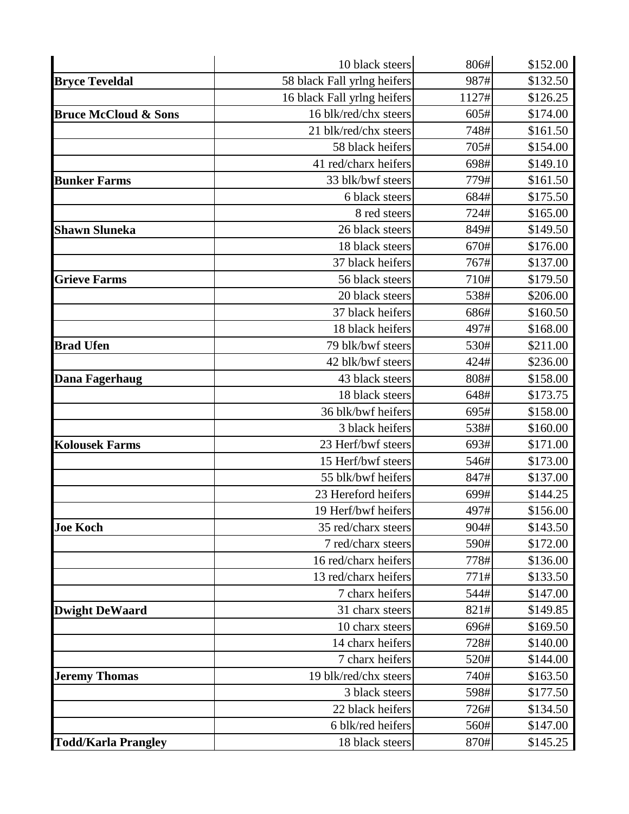|                                 | 10 black steers             | 806#  | \$152.00 |
|---------------------------------|-----------------------------|-------|----------|
| <b>Bryce Teveldal</b>           | 58 black Fall yrlng heifers | 987#  | \$132.50 |
|                                 | 16 black Fall yrlng heifers | 1127# | \$126.25 |
| <b>Bruce McCloud &amp; Sons</b> | 16 blk/red/chx steers       | 605#  | \$174.00 |
|                                 | 21 blk/red/chx steers       | 748#  | \$161.50 |
|                                 | 58 black heifers            | 705#  | \$154.00 |
|                                 | 41 red/charx heifers        | 698#  | \$149.10 |
| <b>Bunker Farms</b>             | 33 blk/bwf steers           | 779#  | \$161.50 |
|                                 | 6 black steers              | 684#  | \$175.50 |
|                                 | 8 red steers                | 724#  | \$165.00 |
| <b>Shawn Sluneka</b>            | 26 black steers             | 849#  | \$149.50 |
|                                 | 18 black steers             | 670#  | \$176.00 |
|                                 | 37 black heifers            | 767#  | \$137.00 |
| <b>Grieve Farms</b>             | 56 black steers             | 710#  | \$179.50 |
|                                 | 20 black steers             | 538#  | \$206.00 |
|                                 | 37 black heifers            | 686#  | \$160.50 |
|                                 | 18 black heifers            | 497#  | \$168.00 |
| <b>Brad Ufen</b>                | 79 blk/bwf steers           | 530#  | \$211.00 |
|                                 | 42 blk/bwf steers           | 424#  | \$236.00 |
| <b>Dana Fagerhaug</b>           | 43 black steers             | 808#  | \$158.00 |
|                                 | 18 black steers             | 648#  | \$173.75 |
|                                 | 36 blk/bwf heifers          | 695#  | \$158.00 |
|                                 | 3 black heifers             | 538#  | \$160.00 |
| <b>Kolousek Farms</b>           | 23 Herf/bwf steers          | 693#  | \$171.00 |
|                                 | 15 Herf/bwf steers          | 546#  | \$173.00 |
|                                 | 55 blk/bwf heifers          | 847#  | \$137.00 |
|                                 | 23 Hereford heifers         | 699#  | \$144.25 |
|                                 | 19 Herf/bwf heifers         | 497#  | \$156.00 |
| <b>Joe Koch</b>                 | 35 red/charx steers         | 904#  | \$143.50 |
|                                 | 7 red/charx steers          | 590#  | \$172.00 |
|                                 | 16 red/charx heifers        | 778#  | \$136.00 |
|                                 | 13 red/charx heifers        | 771#  | \$133.50 |
|                                 | 7 charx heifers             | 544#  | \$147.00 |
| <b>Dwight DeWaard</b>           | 31 charx steers             | 821#  | \$149.85 |
|                                 | 10 charx steers             | 696#  | \$169.50 |
|                                 | 14 charx heifers            | 728#  | \$140.00 |
|                                 | 7 charx heifers             | 520#  | \$144.00 |
| <b>Jeremy Thomas</b>            | 19 blk/red/chx steers       | 740#  | \$163.50 |
|                                 | 3 black steers              | 598#  | \$177.50 |
|                                 | 22 black heifers            | 726#  | \$134.50 |
|                                 | 6 blk/red heifers           | 560#  | \$147.00 |
| <b>Todd/Karla Prangley</b>      | 18 black steers             | 870#  | \$145.25 |